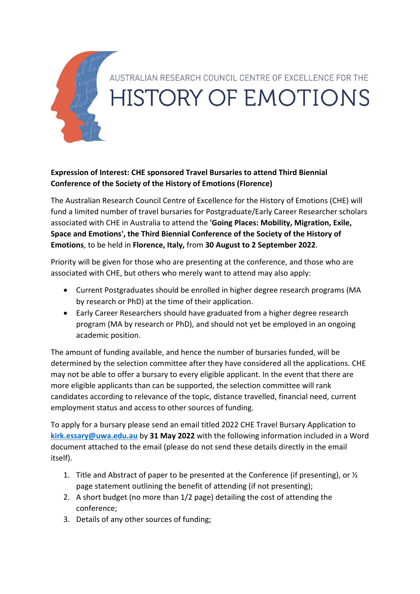

## **Expression of Interest: CHE sponsored Travel Bursaries to attend Third Biennial Conference of the Society of the History of Emotions (Florence)**

The Australian Research Council Centre of Excellence for the History of Emotions (CHE) will fund a limited number of travel bursaries for Postgraduate/Early Career Researcher scholars associated with CHE in Australia to attend the **'Going Places: Mobility, Migration, Exile, Space and Emotions', the Third Biennial Conference of the Society of the History of Emotions**, to be held in **Florence, Italy,** from **30 August to 2 September 2022**.

Priority will be given for those who are presenting at the conference, and those who are associated with CHE, but others who merely want to attend may also apply:

- Current Postgraduates should be enrolled in higher degree research programs (MA by research or PhD) at the time of their application.
- Early Career Researchers should have graduated from a higher degree research program (MA by research or PhD), and should not yet be employed in an ongoing academic position.

The amount of funding available, and hence the number of bursaries funded, will be determined by the selection committee after they have considered all the applications. CHE may not be able to offer a bursary to every eligible applicant. In the event that there are more eligible applicants than can be supported, the selection committee will rank candidates according to relevance of the topic, distance travelled, financial need, current employment status and access to other sources of funding.

To apply for a bursary please send an email titled 2022 CHE Travel Bursary Application to **[kirk.essary@uwa.edu.au](mailto:kirk.essary@uwa.edu.au)** by **31 May 2022** with the following information included in a Word document attached to the email (please do not send these details directly in the email itself).

- 1. Title and Abstract of paper to be presented at the Conference (if presenting), or  $\frac{1}{2}$ page statement outlining the benefit of attending (if not presenting);
- 2. A short budget (no more than 1/2 page) detailing the cost of attending the conference;
- 3. Details of any other sources of funding;